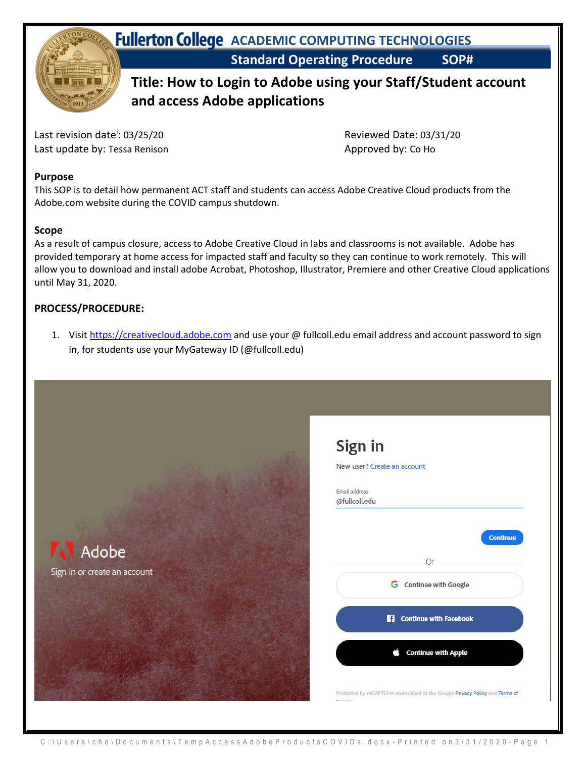

**Standard Operating Procedure SOP# Fullerton College** ACADEMIC COMPUTING TECHNOLOGIES

## **Title: How to Login to Adobe using your Staff/Student account and access Adobe applications**

Last revision date<sup>i</sup>: 03/25/20 Last update by: Tessa Renison Approved by: Co Ho

: 03/25/20 Reviewed Date: 03/31/20

#### **Purpose**

This SOP is to detail how permanent ACT staff and students can access Adobe Creative Cloud products from the Adobe.com website during the COVID campus shutdown.

### **Scope**

As a result of campus closure, access to Adobe Creative Cloud in labs and classrooms is not available. Adobe has provided temporary at home access for impacted staff and faculty so they can continue to work remotely. This will allow you to download and install adobe Acrobat, Photoshop, Illustrator, Premiere and other Creative Cloud applications until May 31, 2020.

### **PROCESS/PROCEDURE:**

1. Visit [https://creativecloud.adobe.com](https://creativecloud.adobe.com/) and use your @ fullcoll.edu email address and account password to sign in, for students use your MyGateway ID (@fullcoll.edu)

Sign in



| Email address<br>@fullcoll.edu |                                    |
|--------------------------------|------------------------------------|
|                                | <b>Continue</b>                    |
|                                | Or                                 |
|                                | <b>G</b> Continue with Google      |
|                                | H<br><b>Continue with Facebook</b> |
|                                | <b>Continue with Apple</b>         |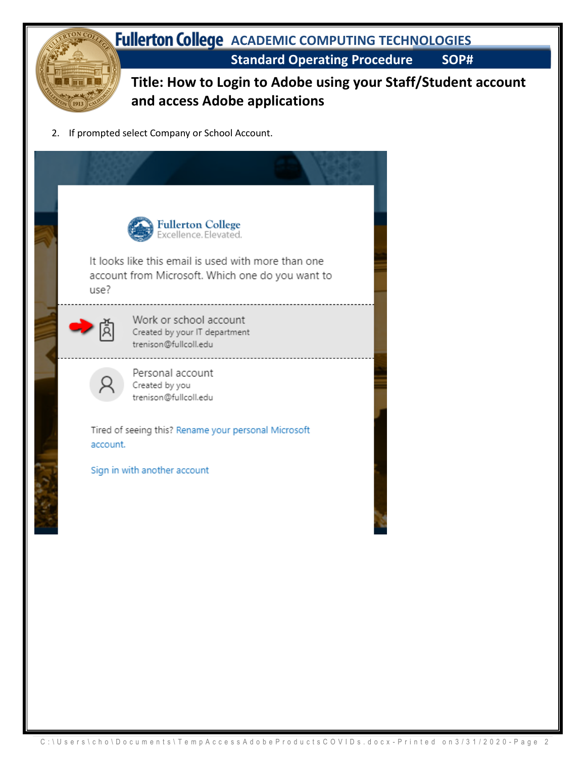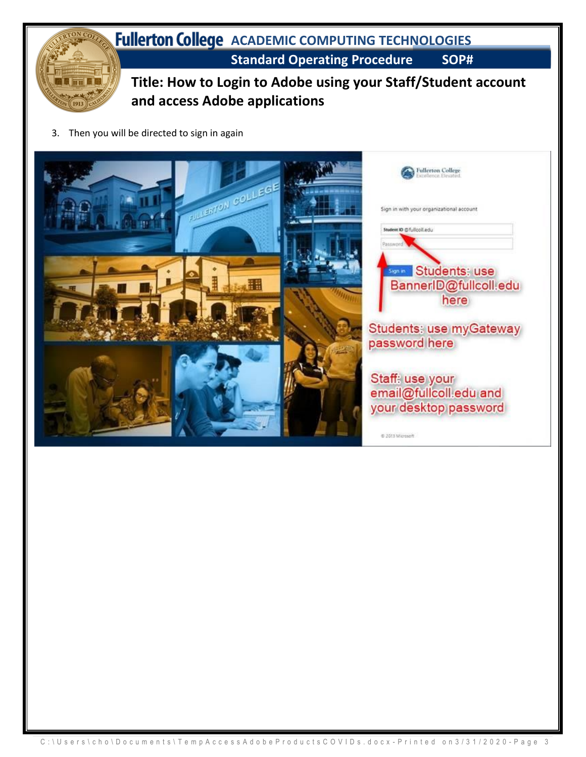

3. Then you will be directed to sign in again

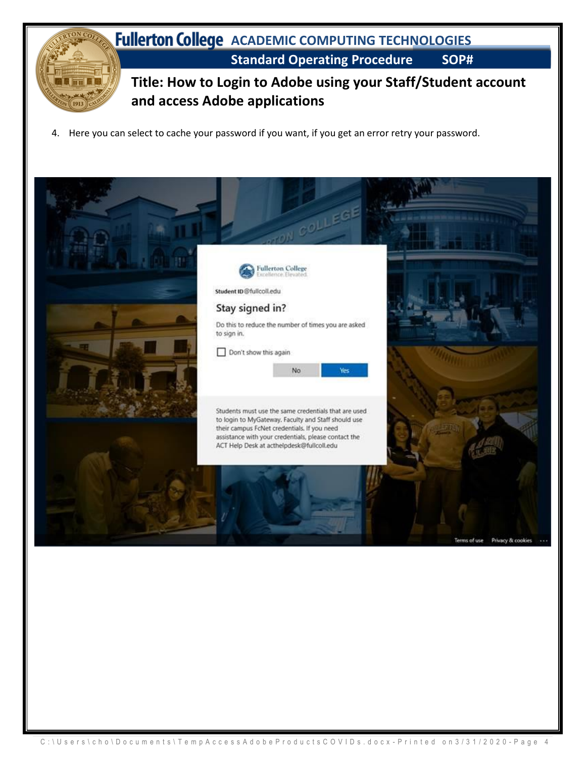

4. Here you can select to cache your password if you want, if you get an error retry your password.

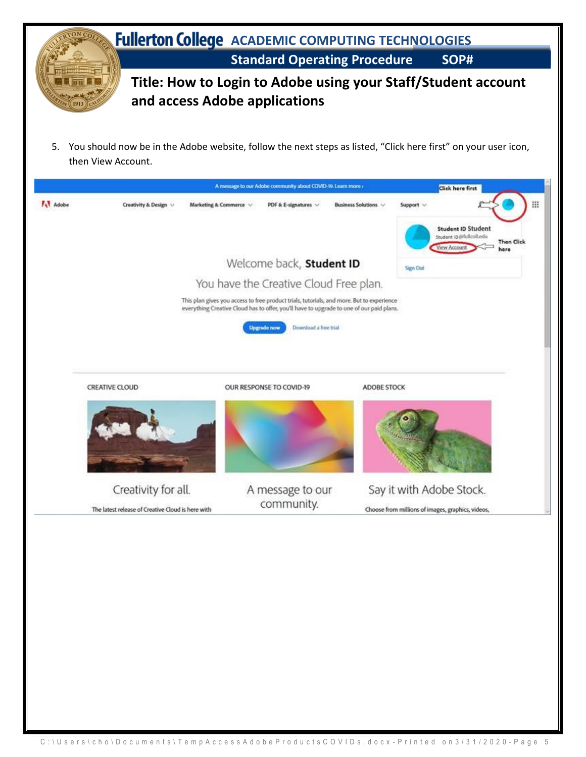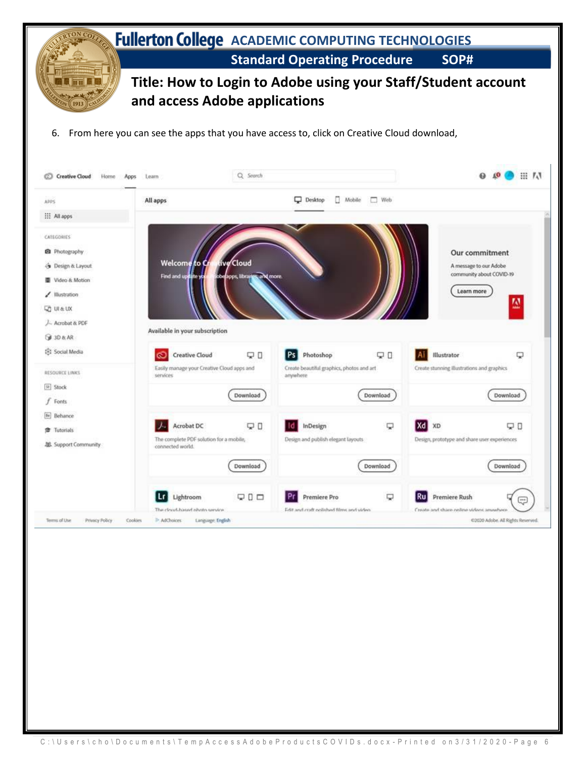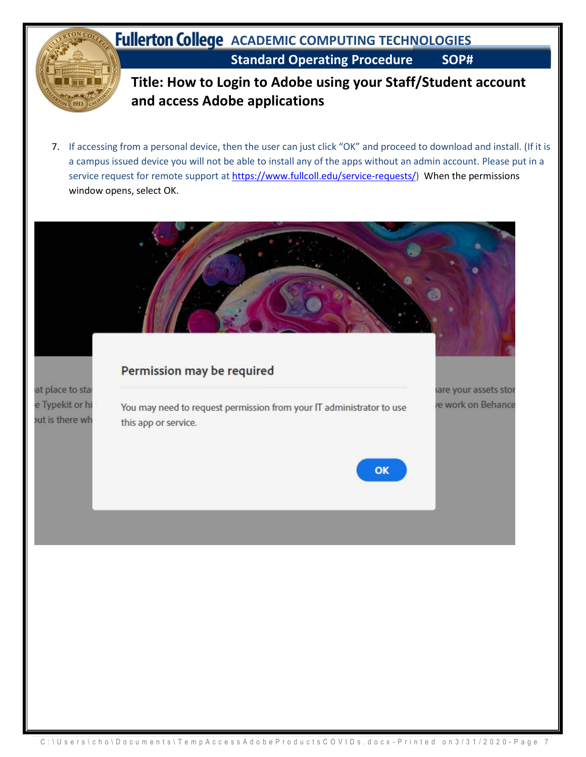

this app or service.

out is there wh

- **Title: How to Login to Adobe using your Staff/Student account and access Adobe applications**
- 7. If accessing from a personal device, then the user can just click "OK" and proceed to download and install. (If it is a campus issued device you will not be able to install any of the apps without an admin account. Please put in a service request for remote support a[t https://www.fullcoll.edu/service-requests/\)](https://www.fullcoll.edu/service-requests/) When the permissions window opens, select OK.

# Permission may be required at place to star e Typekit or hi You may need to request permission from your IT administrator to use

are your assets stor e work on Behance

OK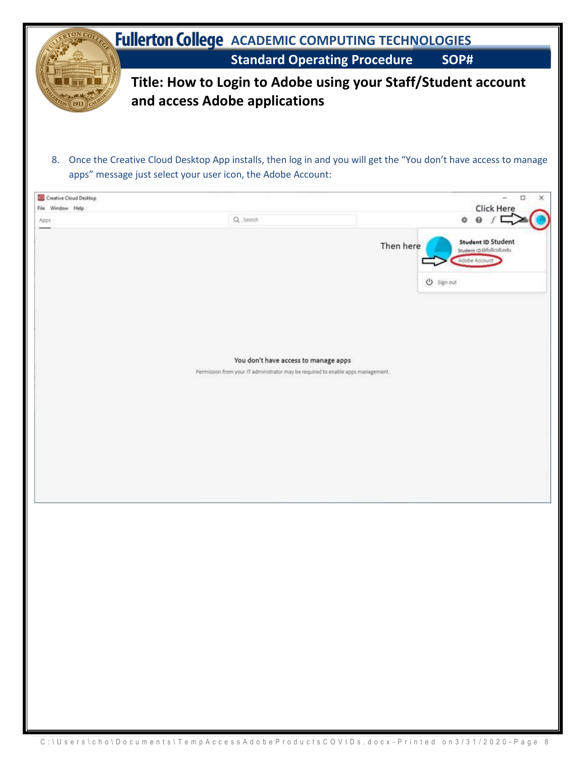| ON CO7                        | <b>Fullerton College</b> ACADEMIC COMPUTING TECHNOLOGIES                                                                                                                           |                                                                                                                          |           |                                                                                      |
|-------------------------------|------------------------------------------------------------------------------------------------------------------------------------------------------------------------------------|--------------------------------------------------------------------------------------------------------------------------|-----------|--------------------------------------------------------------------------------------|
|                               |                                                                                                                                                                                    | <b>Standard Operating Procedure</b>                                                                                      |           | SOP#                                                                                 |
|                               | Title: How to Login to Adobe using your Staff/Student account<br>and access Adobe applications                                                                                     |                                                                                                                          |           |                                                                                      |
| <b>Creative Cloud Desktop</b> | 8. Once the Creative Cloud Desktop App installs, then log in and you will get the "You don't have access to manage<br>apps" message just select your user icon, the Adobe Account: |                                                                                                                          |           | □                                                                                    |
| File Window Help              | Q. Search                                                                                                                                                                          |                                                                                                                          |           | <b>Click Here</b>                                                                    |
| Apps                          |                                                                                                                                                                                    |                                                                                                                          | Then here | <b>Student ID Student</b><br>Student ID @fullcolLedu<br>Adobe Accour<br>(1) Sign out |
|                               |                                                                                                                                                                                    | You don't have access to manage apps<br>Permission from your IT administrator may be required to enable apps management. |           |                                                                                      |
|                               |                                                                                                                                                                                    |                                                                                                                          |           |                                                                                      |